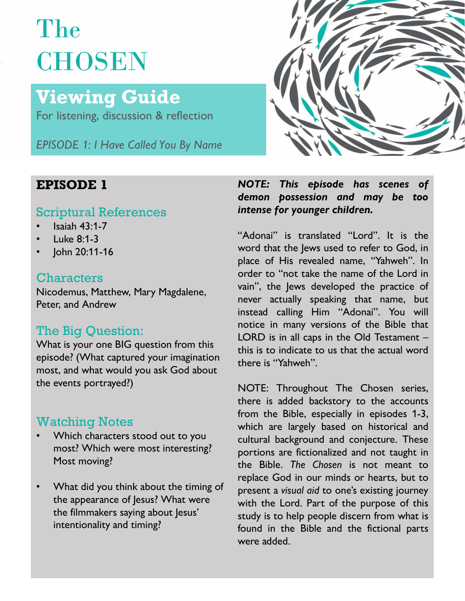# The **CHOSEN**

## Viewing Guide

For listening, discussion & reflection

EPISODE 1: I Have Called You By Name

### Scriptural References heterogy intense for younger children.

- Isaiah 43:1-7
- Luke 8:1-3
- John 20:11-16

#### **Characters**

### The Big Question:

episode? (What captured your imagination there is "Yahweh". most, and what would you ask God about the events portrayed?)

- Most moving?
- intentionality and timing?



EPISODE 1 MOTE: This episode has scenes of<br>demon possession and may be too

StrattactCTD<br>Nicodemus, Matthew, Mary Magdalene, vain'', the Jews developed the practice of<br>never actually speaking that name, but Peter, and Andrew<br>instead calling Him "Adonai". You will The Dig Question.<br>What is your one BIG question from this this is to indicate to us that the actual word **NOTE:** This episode has scenes of<br>demon possession and may be too<br>intense for younger children.<br>"Adonai" is translated "Lord". It is the<br>word that the Jews used to refer to God, in<br>place of His revealed name, "Yahweh". In VACTE: This episode has scenes of<br>demon possession and may be too<br>intense for younger children.<br>"Adonai" is translated "Lord". It is the<br>word that the Jews used to refer to God, in<br>place of His revealed name, "Yahweh". In<br> NOTE: This episode has scenes of<br>demon possession and may be too<br>intense for younger children.<br>"Adonai" is translated "Lord". It is the<br>word that the Jews used to refer to God, in<br>place of His revealed name, "Yahweh". In<br>o **NOTE:** This episode has scenes of demon possession and may be too intense for younger children.<br>
"Adonai" is translated "Lord". It is the word that the Jews used to refer to God, in place of His revealed name, "Yahweh". I NOTE: This episode has scenes of<br>demon possession and may be too<br>intense for younger children.<br>"Adonai" is translated "Lord". It is the<br>word that the Jews used to refer to God, in<br>place of His revealed name, "Yahweh". In<br>o NOTE: This episode has scenes of<br>demon possession and may be too<br>intense for younger children.<br>"Adonai" is translated "Lord". It is the<br>word that the Jews used to refer to God, in<br>place of His revealed name, "Yahweh". In<br>o **NOTE:** This episode has scenes of demon possession and may be too intense for younger children.<br>
"Adonai" is translated "Lord". It is the word that the Jews used to refer to God, in place of His revealed name, "Yahweh". I **NOTE:** This episode has scenes of<br>demon possession and may be too<br>intense for younger children.<br>"Adonai" is translated "Lord". It is the<br>word that the Jews used to refer to God, in<br>place of His revealed name, "Yahweh". In intense for younger children.<br>
"Adonai" is translated "Lord". It is the<br>
word that the Jews used to refer to God, in<br>
place of His revealed name, "Yahweh". In<br>
order to "not take the name of the Lord in<br>
vain", the Jews de "Adonai" is translated "Lord". It is the<br>
"Adonai" is translated "Lord". It is the<br>
word that the Jews used to refer to God, in<br>
place of His revealed name, "Yahweh". In<br>
order to "not take the name of the Lord in<br>
vain", "Adonai" is translated "Lord". It is the<br>word that the Jews used to refer to God, in<br>place of His revealed name, "Yahweh". In<br>order to "not take the name of the Lord in<br>vain", the Jews developed the practice of<br>never actua word that the Jews used to refer to God, in<br>place of His revealed name, "Yahweh". In<br>order to "not take the name of the Lord in<br>vain", the Jews developed the practice of<br>never actually speaking that name, but<br>instead calli

Watching Notes<br>
Watching Notes<br>
Watching Notes<br>
Watching Notes<br>
Watching Notes<br>
Watching Notes<br>
Watching Notes<br>
Watching Notes<br>
Watching Notes<br>
Watching Notes<br>
Watching Notes<br>
Which are largely based on historical and Which characters stood out to you cultural background and conjecture. These most? Which were most interesting? portions are fictionalized and not taught in replace God in our minds or hearts, but to<br>What did you think about the timing of present a visual aid to one's existing journey the appearance of Jesus? What were with the Lord. Part of the purpose of this the filmmakers saying about Jesus' place of His revealed name, "Yahweh". In<br>order to "not take the name of the Lord in<br>vain", the Jews developed the practice of<br>never actually speaking that name, but<br>instead calling Him "Adonai". You will<br>notice in many ver porder to "not take the name of the Lord in<br>vain", the Jews developed the practice of<br>never actually speaking that name, but<br>instead calling Him "Adonai". You will<br>instead calling Him "Adonai". You will<br>instead calling Him vain", the Jews developed the practice of<br>never actually speaking that name, but<br>instead calling Him "Adonai". You will<br>notice in many versions of the Bible that<br>LORD is in all caps in the Old Testament –<br>this is to indica rever actually speaking that name, but<br>instead calling Him "Adonai". You will<br>instead calling Him "Adonai". You will<br>notice in many versions of the Bible that<br>LORD is in all caps in the Old Testament –<br>this is to indicate instead calling Him "Adonai". You will<br>instead calling Him "Adonai". You will<br>notice in many versions of the Bible that<br>LORD is in all caps in the Old Testament –<br>this is to indicate to us that the actual word<br>there is "Ya motice in many versions of the Bible that<br>LORD is in all caps in the Old Testament –<br>this is to indicate to us that the actual word<br>there is "Yahweh".<br>NOTE: Throughout The Chosen series,<br>there is added backstory to the acc LORD is in all caps in the Old Testament –<br>LORD is in all caps in the Old Testament –<br>this is to indicate to us that the actual word<br>there is "Yahweh".<br>NOTE: Throughout The Chosen series,<br>there is added backstory to the ac This is to indicate to us that the actual word<br>there is "Yahweh".<br>NOTE: Throughout The Chosen series,<br>there is added backstory to the accounts<br>from the Bible, especially in episodes 1-3,<br>which are largely based on historic there is "Yahweh".<br>
NOTE: Throughout The Chosen series,<br>
there is added backstory to the accounts<br>
from the Bible, especially in episodes 1-3,<br>
which are largely based on historical and<br>
cultural background and conjecture.